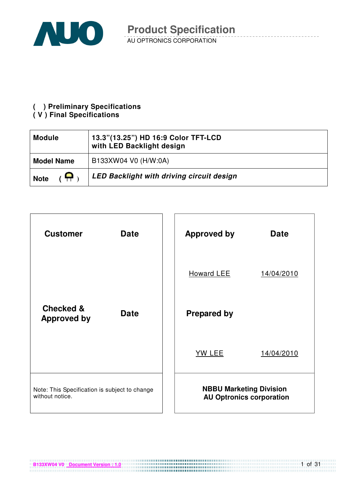

#### **( ) Preliminary Specifications**

#### **( V ) Final Specifications**

| <b>Module</b>               | 13.3"(13.25") HD 16:9 Color TFT-LCD<br>with LED Backlight design |
|-----------------------------|------------------------------------------------------------------|
| <b>Model Name</b>           | B133XW04 V0 (H/W:0A)                                             |
| $\mathbf{P}$<br><b>Note</b> | <b>LED Backlight with driving circuit design</b>                 |

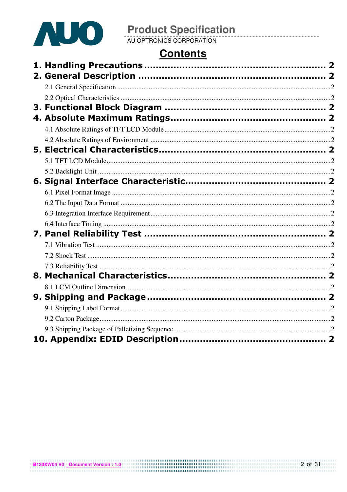

# **Contents**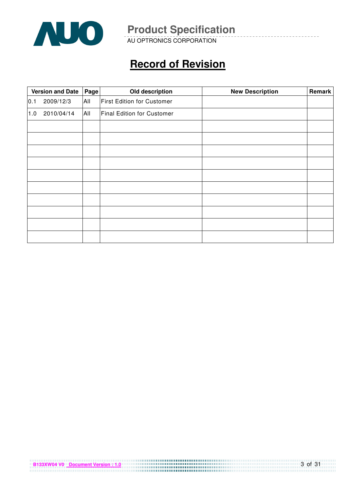

AU OPTRONICS CORPORATION

# **Record of Revision**

|     | <b>Version and Date</b> | Page | Old description            | <b>New Description</b> | Remark |
|-----|-------------------------|------|----------------------------|------------------------|--------|
| 0.1 | 2009/12/3               | All  | First Edition for Customer |                        |        |
| 1.0 | 2010/04/14              | All  | Final Edition for Customer |                        |        |
|     |                         |      |                            |                        |        |
|     |                         |      |                            |                        |        |
|     |                         |      |                            |                        |        |
|     |                         |      |                            |                        |        |
|     |                         |      |                            |                        |        |
|     |                         |      |                            |                        |        |
|     |                         |      |                            |                        |        |
|     |                         |      |                            |                        |        |
|     |                         |      |                            |                        |        |
|     |                         |      |                            |                        |        |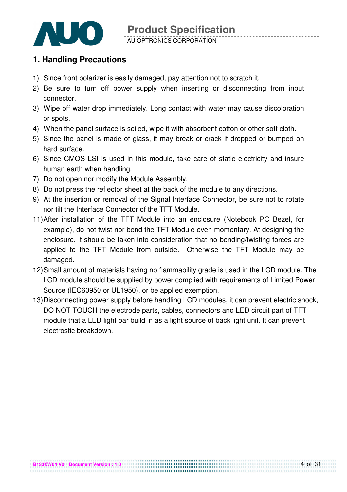

#### AU OPTRONICS CORPORATION

### **1. Handling Precautions**

- 1) Since front polarizer is easily damaged, pay attention not to scratch it.
- 2) Be sure to turn off power supply when inserting or disconnecting from input connector.
- 3) Wipe off water drop immediately. Long contact with water may cause discoloration or spots.
- 4) When the panel surface is soiled, wipe it with absorbent cotton or other soft cloth.
- 5) Since the panel is made of glass, it may break or crack if dropped or bumped on hard surface.
- 6) Since CMOS LSI is used in this module, take care of static electricity and insure human earth when handling.
- 7) Do not open nor modify the Module Assembly.
- 8) Do not press the reflector sheet at the back of the module to any directions.
- 9) At the insertion or removal of the Signal Interface Connector, be sure not to rotate nor tilt the Interface Connector of the TFT Module.
- 11) After installation of the TFT Module into an enclosure (Notebook PC Bezel, for example), do not twist nor bend the TFT Module even momentary. At designing the enclosure, it should be taken into consideration that no bending/twisting forces are applied to the TFT Module from outside. Otherwise the TFT Module may be damaged.
- 12) Small amount of materials having no flammability grade is used in the LCD module. The LCD module should be supplied by power complied with requirements of Limited Power Source (IEC60950 or UL1950), or be applied exemption.
- 13) Disconnecting power supply before handling LCD modules, it can prevent electric shock, DO NOT TOUCH the electrode parts, cables, connectors and LED circuit part of TFT module that a LED light bar build in as a light source of back light unit. It can prevent electrostic breakdown.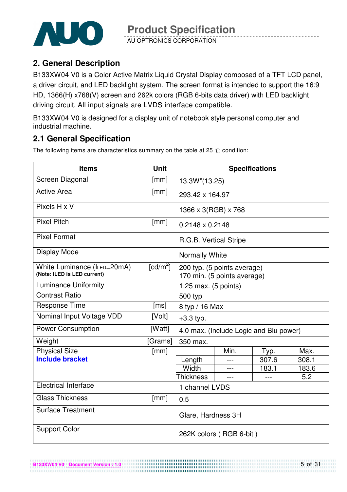

AU OPTRONICS CORPORATION

### **2. General Description**

B133XW04 V0 is a Color Active Matrix Liquid Crystal Display composed of a TFT LCD panel, a driver circuit, and LED backlight system. The screen format is intended to support the 16:9 HD, 1366(H) x768(V) screen and 262k colors (RGB 6-bits data driver) with LED backlight driving circuit. All input signals are LVDS interface compatible.

B133XW04 V0 is designed for a display unit of notebook style personal computer and industrial machine.

### **2.1 General Specification**

The following items are characteristics summary on the table at 25  $\degree$ C condition:

| <b>Items</b>                                               | <b>Unit</b>            | <b>Specifications</b>                                      |                                        |       |       |  |
|------------------------------------------------------------|------------------------|------------------------------------------------------------|----------------------------------------|-------|-------|--|
| Screen Diagonal                                            | [mm]                   | 13.3W"(13.25)                                              |                                        |       |       |  |
| <b>Active Area</b>                                         | [mm]                   | 293.42 x 164.97                                            |                                        |       |       |  |
| Pixels H x V                                               |                        | 1366 x 3(RGB) x 768                                        |                                        |       |       |  |
| <b>Pixel Pitch</b>                                         | [mm]                   | 0.2148 x 0.2148                                            |                                        |       |       |  |
| <b>Pixel Format</b>                                        |                        | R.G.B. Vertical Stripe                                     |                                        |       |       |  |
| Display Mode                                               |                        | Normally White                                             |                                        |       |       |  |
| White Luminance (ILED=20mA)<br>(Note: ILED is LED current) | $\lceil cd/m^2 \rceil$ | 200 typ. (5 points average)<br>170 min. (5 points average) |                                        |       |       |  |
| <b>Luminance Uniformity</b>                                |                        | 1.25 max. $(5 \text{ points})$                             |                                        |       |       |  |
| <b>Contrast Ratio</b>                                      |                        | 500 typ                                                    |                                        |       |       |  |
| Response Time                                              | [ms]                   | 8 typ / 16 Max                                             |                                        |       |       |  |
| Nominal Input Voltage VDD                                  | [Volt]                 | $+3.3$ typ.                                                |                                        |       |       |  |
| <b>Power Consumption</b>                                   | [Watt]                 |                                                            | 4.0 max. (Include Logic and Blu power) |       |       |  |
| Weight                                                     | [Grams]                | 350 max.                                                   |                                        |       |       |  |
| <b>Physical Size</b>                                       | [mm]                   |                                                            | Min.                                   | Typ.  | Max.  |  |
| <b>Include bracket</b>                                     |                        | Length                                                     |                                        | 307.6 | 308.1 |  |
|                                                            |                        | Width                                                      |                                        | 183.1 | 183.6 |  |
|                                                            |                        | <b>Thickness</b>                                           | $---$                                  |       | 5.2   |  |
| <b>Electrical Interface</b>                                |                        | 1 channel LVDS                                             |                                        |       |       |  |
| <b>Glass Thickness</b>                                     | [mm]                   | 0.5                                                        |                                        |       |       |  |
| <b>Surface Treatment</b>                                   |                        | Glare, Hardness 3H                                         |                                        |       |       |  |
| <b>Support Color</b>                                       |                        |                                                            | 262K colors (RGB 6-bit)                |       |       |  |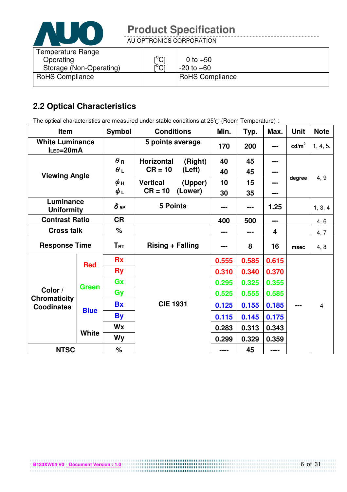

AU OPTRONICS CORPORATION

| Temperature Range<br>Operating | $\mathsf{I}^\circ\mathsf{C}$  | 0 to $+50$             |
|--------------------------------|-------------------------------|------------------------|
| Storage (Non-Operating)        | $\mathsf{I}^\circ\mathsf{Cl}$ | $-20$ to $+60$         |
| <b>RoHS Compliance</b>         |                               | <b>RoHS Compliance</b> |

### **2.2 Optical Characteristics**

The optical characteristics are measured under stable conditions at 25°C (Room Temperature) :

| Item                                     |              | <b>Symbol</b> | <b>Conditions</b>                                  | Min.  | Typ.  | Max.  | <b>Unit</b>     | <b>Note</b> |
|------------------------------------------|--------------|---------------|----------------------------------------------------|-------|-------|-------|-----------------|-------------|
| <b>White Luminance</b><br>ILED=20mA      |              |               | 5 points average                                   | 170   | 200   | ---   | $\text{cd/m}^2$ | 1, 4, 5.    |
|                                          |              | $\theta$ R    | Horizontal<br>(Right)                              | 40    | 45    |       |                 |             |
| <b>Viewing Angle</b>                     |              | $\theta_L$    | $CR = 10$<br>(Left)                                | 40    | 45    | ---   |                 |             |
|                                          |              | ψн            | <b>Vertical</b><br>(Upper)<br>$CR = 10$<br>(Lower) | 10    | 15    | ---   | degree          | 4, 9        |
|                                          |              | $\phi_L$      |                                                    | 30    | 35    | ---   |                 |             |
| Luminance<br><b>Uniformity</b>           |              | $\delta$ 5P   | <b>5 Points</b>                                    | ---   | ---   | 1.25  |                 | 1, 3, 4     |
| <b>Contrast Ratio</b>                    |              | <b>CR</b>     |                                                    | 400   | 500   | ---   |                 | 4, 6        |
| <b>Cross talk</b>                        |              | $\%$          |                                                    | ---   | ---   | 4     |                 | 4, 7        |
| <b>Response Time</b>                     |              | $T_{\rm RT}$  | <b>Rising + Falling</b>                            |       | 8     | 16    | msec            | 4, 8        |
|                                          | <b>Red</b>   | <b>Rx</b>     |                                                    | 0.555 | 0.585 | 0.615 |                 |             |
|                                          |              | <b>Ry</b>     |                                                    | 0.310 | 0.340 | 0.370 |                 |             |
|                                          | <b>Green</b> | Gx            |                                                    | 0.295 | 0.325 | 0.355 |                 |             |
| Color /                                  |              | Gy            |                                                    | 0.525 | 0.555 | 0.585 |                 |             |
| <b>Chromaticity</b><br><b>Coodinates</b> | <b>Blue</b>  | <b>Bx</b>     | <b>CIE 1931</b>                                    | 0.125 | 0.155 | 0.185 | ---             | 4           |
|                                          |              | <b>By</b>     |                                                    | 0.115 | 0.145 | 0.175 |                 |             |
|                                          |              | <b>Wx</b>     |                                                    | 0.283 | 0.313 | 0.343 |                 |             |
|                                          | <b>White</b> | <b>Wy</b>     |                                                    | 0.299 | 0.329 | 0.359 |                 |             |
| <b>NTSC</b>                              |              | $\%$          |                                                    | ----  | 45    | ----  |                 |             |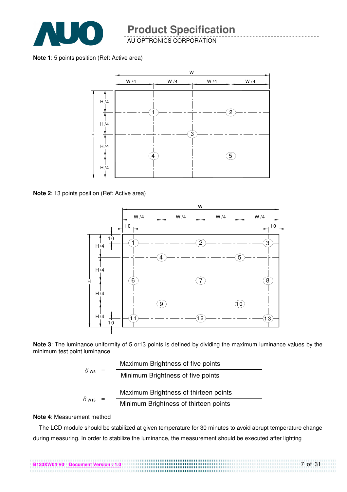

AU OPTRONICS CORPORATION

**Note 1**: 5 points position (Ref: Active area)



**Note 2**: 13 points position (Ref: Active area)



**Note 3**: The luminance uniformity of 5 or13 points is defined by dividing the maximum luminance values by the minimum test point luminance

|                           |  | Maximum Brightness of five points     |
|---------------------------|--|---------------------------------------|
| $\delta$ w <sub>5</sub> = |  | Minimum Brightness of five points     |
|                           |  | Maximum Brightness of thirteen points |
| $\delta$ W13              |  | Minimum Brightness of thirteen points |

#### **Note 4**: Measurement method

The LCD module should be stabilized at given temperature for 30 minutes to avoid abrupt temperature change during measuring. In order to stabilize the luminance, the measurement should be executed after lighting

7 of 31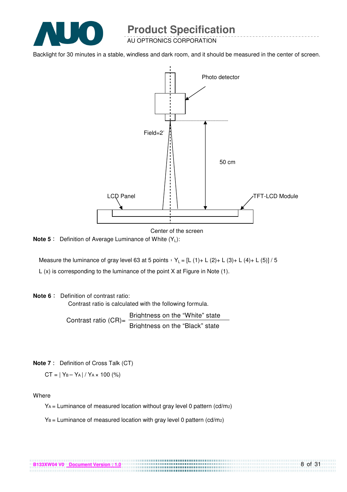

AU OPTRONICS CORPORATION

Backlight for 30 minutes in a stable, windless and dark room, and it should be measured in the center of screen.



Center of the screen

**Note 5** : Definition of Average Luminance of White (Y<sub>L</sub>):

Measure the luminance of gray level 63 at 5 points  $Y_L = [L (1) + L (2) + L (3) + L (4) + L (5)] / 5$ L (x) is corresponding to the luminance of the point X at Figure in Note (1).

#### **Note 6** : Definition of contrast ratio:

Contrast ratio is calculated with the following formula.

Contrast ratio  $(CR)$ = Brightness on the "White" state Brightness on the "Black" state

**Note 7** : Definition of Cross Talk (CT)

 $CT = |Y_B - Y_A| / Y_A \times 100$  (%)

Where

 $Y_A$  = Luminance of measured location without gray level 0 pattern (cd/m<sub>2</sub>)

.................................

 $Y_B =$  Luminance of measured location with gray level 0 pattern (cd/m2)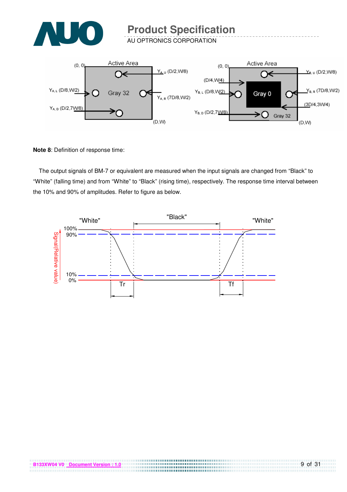

AU OPTRONICS CORPORATION



**Note 8**: Definition of response time:

The output signals of BM-7 or equivalent are measured when the input signals are changed from "Black" to "White" (falling time) and from "White" to "Black" (rising time), respectively. The response time interval between the 10% and 90% of amplitudes. Refer to figure as below.

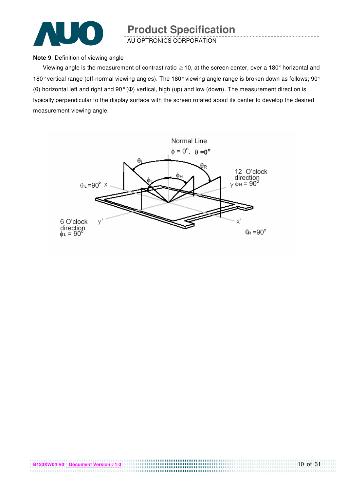

AU OPTRONICS CORPORATION

#### **Note 9**. Definition of viewing angle

Viewing angle is the measurement of contrast ratio  $\geq$  10, at the screen center, over a 180° horizontal and 180° vertical range (off-normal viewing angles). The 180° viewing angle range is broken down as follows; 90° (θ) horizontal left and right and 90° (Φ) vertical, high (up) and low (down). The measurement direction is typically perpendicular to the display surface with the screen rotated about its center to develop the desired measurement viewing angle.

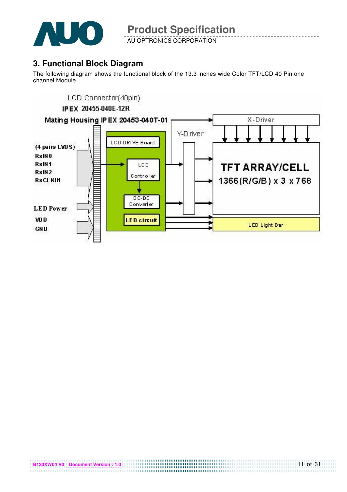

AU OPTRONICS CORPORATION

# **3. Functional Block Diagram**

The following diagram shows the functional block of the 13.3 inches wide Color TFT/LCD 40 Pin one channel Module

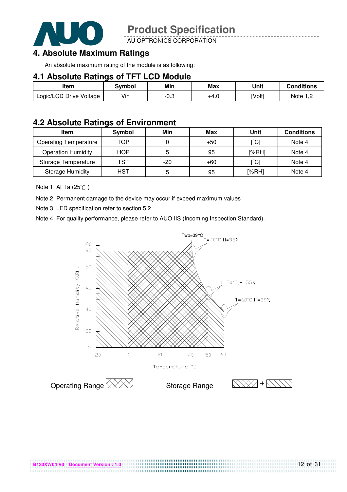

AU OPTRONICS CORPORATION

### **4. Absolute Maximum Ratings**

An absolute maximum rating of the module is as following:

#### **4.1 Absolute Ratings of TFT LCD Module**

| Item                    | Svmbol | Min  | <b>Max</b> | Unit   | Conditions   |
|-------------------------|--------|------|------------|--------|--------------|
| Logic/LCD Drive Voltage | Vin    | -0.3 | +4.U       | [Volt] | Note<br>ے, ا |

#### **4.2 Absolute Ratings of Environment**

| <b>Item</b>                  | Symbol     | Min   | Max   | Unit                                    | <b>Conditions</b> |
|------------------------------|------------|-------|-------|-----------------------------------------|-------------------|
| <b>Operating Temperature</b> | TOP        |       | $+50$ | $\mathsf{I}^\circ\mathsf{C} \mathsf{I}$ | Note 4            |
| <b>Operation Humidity</b>    | <b>HOP</b> | 5     | 95    | [%RH]                                   | Note 4            |
| Storage Temperature          | TST        | $-20$ | $+60$ | $\mathsf{I}^{\circ}$ Cl                 | Note 4            |
| <b>Storage Humidity</b>      | HST        | 5     | 95    | [%RH]                                   | Note 4            |

Note 1: At Ta (25°C)

Note 2: Permanent damage to the device may occur if exceed maximum values

Note 3: LED specification refer to section 5.2

Note 4: For quality performance, please refer to AUO IIS (Incoming Inspection Standard).



....................................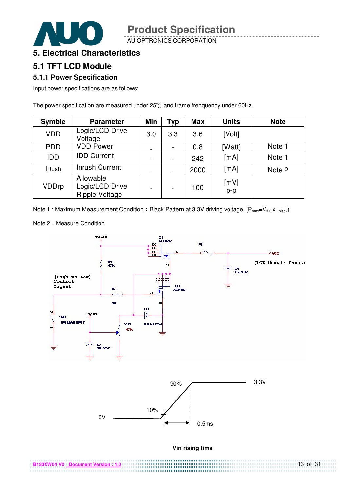AU OPTRONICS CORPORATION

### **5. Electrical Characteristics**

### **5.1 TFT LCD Module**

#### **5.1.1 Power Specification**

Input power specifications are as follows;

The power specification are measured under  $25^{\circ}$ C and frame frenquency under 60Hz

| <b>Symble</b> | <b>Parameter</b>                                      | <b>Min</b>               | <b>Typ</b> | <b>Max</b> | <b>Units</b>  | <b>Note</b> |
|---------------|-------------------------------------------------------|--------------------------|------------|------------|---------------|-------------|
| <b>VDD</b>    | Logic/LCD Drive<br>Voltage                            | 3.0                      | 3.3        | 3.6        | [Volt]        |             |
| <b>PDD</b>    | <b>VDD Power</b>                                      | $\overline{\phantom{a}}$ |            | 0.8        | [Watt]        | Note 1      |
| <b>IDD</b>    | <b>IDD Current</b>                                    |                          |            | 242        | [mA]          | Note 1      |
| <b>IRush</b>  | <b>Inrush Current</b>                                 |                          |            | 2000       | [mA]          | Note 2      |
| <b>VDDrp</b>  | Allowable<br>Logic/LCD Drive<br><b>Ripple Voltage</b> |                          |            | 100        | [mV]<br>$p-p$ |             |

Note 1 : Maximum Measurement Condition : Black Pattern at 3.3V driving voltage. ( $P_{max}=V_{3.3} \times I_{black}$ )

Note 2: Measure Condition

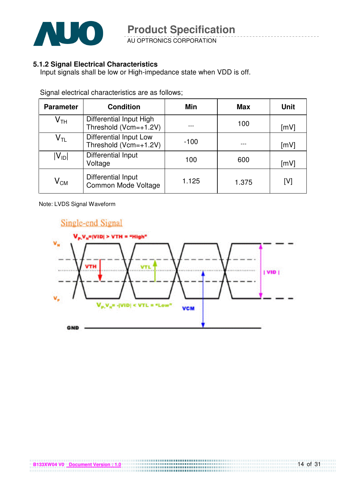

AU OPTRONICS CORPORATION

#### **5.1.2 Signal Electrical Characteristics**

Input signals shall be low or High-impedance state when VDD is off.

| <b>Parameter</b>           | <b>Condition</b>                                 | <b>Min</b> | <b>Max</b> | <b>Unit</b> |
|----------------------------|--------------------------------------------------|------------|------------|-------------|
| $\mathsf{V}_{\mathsf{TH}}$ | Differential Input High<br>Threshold (Vcm=+1.2V) |            | 100        | [mV]        |
| $\mathsf{V}_{\mathsf{TL}}$ | Differential Input Low<br>Threshold (Vcm=+1.2V)  | $-100$     |            | [mV]        |
| $ V_{ID} $                 | Differential Input<br>Voltage                    | 100        | 600        | [mV]        |
| $\mathsf{V}_{\mathsf{CM}}$ | <b>Differential Input</b><br>Common Mode Voltage | 1.125      | 1.375      | [V]         |

Signal electrical characteristics are as follows;

Note: LVDS Signal Waveform

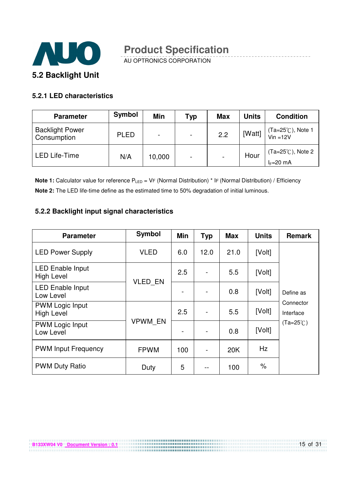

AU OPTRONICS CORPORATION

#### **5.2.1 LED characteristics**

| <b>Parameter</b>                      | Symbol      | Min                      | Typ | <b>Max</b>               | <b>Units</b> | <b>Condition</b>                           |
|---------------------------------------|-------------|--------------------------|-----|--------------------------|--------------|--------------------------------------------|
| <b>Backlight Power</b><br>Consumption | <b>PLED</b> | $\overline{\phantom{0}}$ | ٠   | 2.2                      | [Watt]       | $(Ta=25^{\circ}C)$ , Note 1<br>Vin =12V    |
| <b>LED Life-Time</b>                  | N/A         | 10,000                   | ۰   | $\overline{\phantom{0}}$ | Hour         | $(Ta=25^{\circ}C)$ , Note 2<br>$I_F=20$ mA |

**Note 1:** Calculator value for reference P<sub>LED</sub> = VF (Normal Distribution) \* IF (Normal Distribution) / Efficiency **Note 2:** The LED life-time define as the estimated time to 50% degradation of initial luminous.

#### **5.2.2 Backlight input signal characteristics**

**B133XW04 V0** Document Version : 0.1

| <b>Parameter</b>                             | <b>Symbol</b>  | <b>Min</b> | <b>Typ</b> | <b>Max</b> | <b>Units</b> | Remark                 |
|----------------------------------------------|----------------|------------|------------|------------|--------------|------------------------|
| <b>LED Power Supply</b>                      | <b>VLED</b>    | 6.0        | 12.0       | 21.0       | [Volt]       |                        |
| <b>LED Enable Input</b><br><b>High Level</b> | VLED EN        | 2.5        |            | 5.5        | [Volt]       |                        |
| <b>LED Enable Input</b><br>Low Level         |                |            |            | 0.8        | [Volt]       | Define as              |
| <b>PWM Logic Input</b><br><b>High Level</b>  |                | 2.5        |            | 5.5        | [Volt]       | Connector<br>Interface |
| <b>PWM Logic Input</b><br>Low Level          | <b>VPWM EN</b> |            |            | 0.8        | [Volt]       | $(Ta=25^{\circ}C)$     |
| <b>PWM Input Frequency</b>                   | <b>FPWM</b>    | 100        |            | 20K        | Hz           |                        |
| <b>PWM Duty Ratio</b>                        | Duty           | 5          | --         | 100        | $\%$         |                        |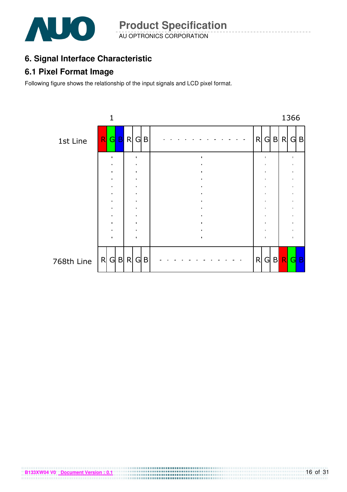

AU OPTRONICS CORPORATION **Product Specification** 

# **6. Signal Interface Characteristic**

### **6.1 Pixel Format Image**

Following figure shows the relationship of the input signals and LCD pixel format.

**B133XW04 V0** Document Version : 0.1

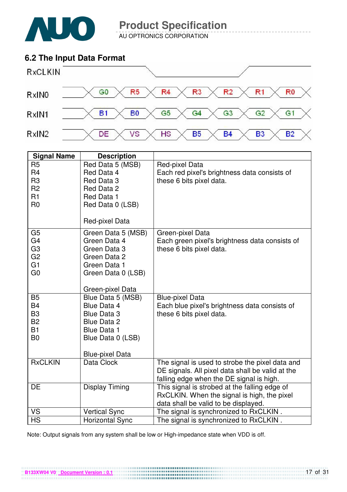

AU OPTRONICS CORPORATION

### **6.2 The Input Data Format**



| <b>Signal Name</b>          | <b>Description</b>                             |                                                                                                                                                                         |
|-----------------------------|------------------------------------------------|-------------------------------------------------------------------------------------------------------------------------------------------------------------------------|
| R <sub>5</sub>              | Red Data 5 (MSB)                               | Red-pixel Data                                                                                                                                                          |
| R <sub>4</sub>              | Red Data 4                                     | Each red pixel's brightness data consists of                                                                                                                            |
| R <sub>3</sub>              | Red Data 3                                     | these 6 bits pixel data.                                                                                                                                                |
| R <sub>2</sub>              | Red Data 2                                     |                                                                                                                                                                         |
| R <sub>1</sub>              | Red Data 1                                     |                                                                                                                                                                         |
| R <sub>0</sub>              | Red Data 0 (LSB)                               |                                                                                                                                                                         |
|                             | Red-pixel Data                                 |                                                                                                                                                                         |
| G <sub>5</sub>              | Green Data 5 (MSB)                             | Green-pixel Data                                                                                                                                                        |
| G <sub>4</sub>              | Green Data 4                                   | Each green pixel's brightness data consists of                                                                                                                          |
| G <sub>3</sub>              | Green Data 3                                   | these 6 bits pixel data.                                                                                                                                                |
| G <sub>2</sub>              | Green Data 2                                   |                                                                                                                                                                         |
| G1                          | Green Data 1                                   |                                                                                                                                                                         |
| G <sub>0</sub>              | Green Data 0 (LSB)                             |                                                                                                                                                                         |
|                             | Green-pixel Data                               |                                                                                                                                                                         |
| <b>B5</b>                   | Blue Data 5 (MSB)                              | <b>Blue-pixel Data</b>                                                                                                                                                  |
| <b>B4</b>                   | Blue Data 4                                    | Each blue pixel's brightness data consists of                                                                                                                           |
| B <sub>3</sub>              | Blue Data 3                                    | these 6 bits pixel data.                                                                                                                                                |
| <b>B2</b>                   | <b>Blue Data 2</b>                             |                                                                                                                                                                         |
| <b>B1</b><br>B <sub>0</sub> | <b>Blue Data 1</b>                             |                                                                                                                                                                         |
|                             | Blue Data 0 (LSB)                              |                                                                                                                                                                         |
|                             | <b>Blue-pixel Data</b>                         |                                                                                                                                                                         |
| <b>RxCLKIN</b>              | Data Clock                                     | The signal is used to strobe the pixel data and                                                                                                                         |
|                             |                                                | DE signals. All pixel data shall be valid at the                                                                                                                        |
|                             |                                                | falling edge when the DE signal is high.                                                                                                                                |
| DE                          | <b>Display Timing</b>                          | This signal is strobed at the falling edge of                                                                                                                           |
|                             |                                                |                                                                                                                                                                         |
|                             |                                                |                                                                                                                                                                         |
|                             |                                                |                                                                                                                                                                         |
| <b>VS</b><br><b>HS</b>      | <b>Vertical Sync</b><br><b>Horizontal Sync</b> | RxCLKIN. When the signal is high, the pixel<br>data shall be valid to be displayed.<br>The signal is synchronized to RxCLKIN.<br>The signal is synchronized to RxCLKIN. |

Note: Output signals from any system shall be low or High-impedance state when VDD is off.

**B133XW04 V0** Document Version : 0.1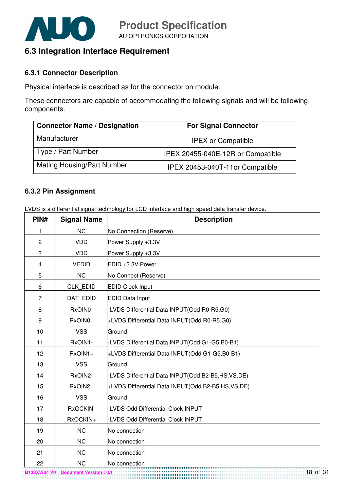

### **6.3 Integration Interface Requirement**

#### **6.3.1 Connector Description**

Physical interface is described as for the connector on module.

These connectors are capable of accommodating the following signals and will be following components.

| <b>Connector Name / Designation</b> | <b>For Signal Connector</b>       |
|-------------------------------------|-----------------------------------|
| Manufacturer                        | <b>IPEX or Compatible</b>         |
| Type / Part Number                  | IPEX 20455-040E-12R or Compatible |
| <b>Mating Housing/Part Number</b>   | IPEX 20453-040T-11or Compatible   |

#### **6.3.2 Pin Assignment**

LVDS is a differential signal technology for LCD interface and high speed data transfer device.

| PIN#           | <b>Signal Name</b> | <b>Description</b>                                    |
|----------------|--------------------|-------------------------------------------------------|
| 1              | <b>NC</b>          | No Connection (Reserve)                               |
| $\overline{c}$ | <b>VDD</b>         | Power Supply +3.3V                                    |
| 3              | <b>VDD</b>         | Power Supply +3.3V                                    |
| 4              | <b>VEDID</b>       | EDID +3.3V Power                                      |
| 5              | <b>NC</b>          | No Connect (Reserve)                                  |
| 6              | <b>CLK EDID</b>    | <b>EDID Clock Input</b>                               |
| $\overline{7}$ | DAT EDID           | <b>EDID Data Input</b>                                |
| 8              | RxOIN0-            | -LVDS Differential Data INPUT(Odd R0-R5,G0)           |
| 9              | RxOIN0+            | +LVDS Differential Data INPUT(Odd R0-R5,G0)           |
| 10             | <b>VSS</b>         | Ground                                                |
| 11             | RxOIN1-            | -LVDS Differential Data INPUT(Odd G1-G5,B0-B1)        |
| 12             | RxOIN1+            | +LVDS Differential Data INPUT(Odd G1-G5,B0-B1)        |
| 13             | <b>VSS</b>         | Ground                                                |
| 14             | RxOIN2-            | -LVDS Differential Data INPUT(Odd B2-B5,HS,VS,DE)     |
| 15             | RxOIN2+            | +LVDS Differential Data INPUT (Odd B2-B5, HS, VS, DE) |
| 16             | <b>VSS</b>         | Ground                                                |
| 17             | RxOCKIN-           | -LVDS Odd Differential Clock INPUT                    |
| 18             | RxOCKIN+           | -LVDS Odd Differential Clock INPUT                    |
| 19             | <b>NC</b>          | No connection                                         |
| 20             | <b>NC</b>          | No connection                                         |
| 21             | <b>NC</b>          | No connection                                         |
| 22             | <b>NC</b>          | No connection                                         |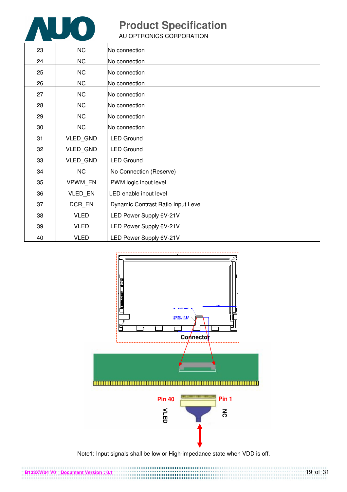

AU OPTRONICS CORPORATION

| 23 | <b>NC</b>       | No connection                      |
|----|-----------------|------------------------------------|
| 24 | <b>NC</b>       | No connection                      |
| 25 | NC              | No connection                      |
| 26 | NC              | No connection                      |
| 27 | NC              | No connection                      |
| 28 | NC              | No connection                      |
| 29 | NC              | No connection                      |
| 30 | <b>NC</b>       | No connection                      |
| 31 | VLED_GND        | <b>LED Ground</b>                  |
| 32 | <b>VLED GND</b> | <b>LED Ground</b>                  |
| 33 | <b>VLED GND</b> | <b>LED Ground</b>                  |
| 34 | NC              | No Connection (Reserve)            |
| 35 | <b>VPWM EN</b>  | PWM logic input level              |
| 36 | VLED EN         | LED enable input level             |
| 37 | DCR_EN          | Dynamic Contrast Ratio Input Level |
| 38 | <b>VLED</b>     | LED Power Supply 6V-21V            |
| 39 | <b>VLED</b>     | LED Power Supply 6V-21V            |
| 40 | <b>VLED</b>     | LED Power Supply 6V-21V            |



Note1: Input signals shall be low or High-impedance state when VDD is off.

**B133XW04 V0 Document Version : 0.1**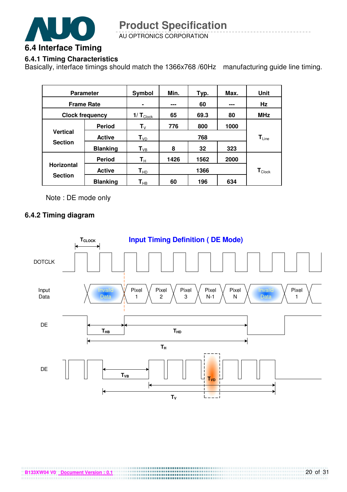

AU OPTRONICS CORPORATION

#### **6.4.1 Timing Characteristics**

Basically, interface timings should match the 1366x768 /60Hz manufacturing guide line timing.

| <b>Parameter</b>       |                 | Symbol                     | Min. | Typ.                         | Max. | Unit                        |
|------------------------|-----------------|----------------------------|------|------------------------------|------|-----------------------------|
| <b>Frame Rate</b>      |                 |                            | ---  | 60                           | ---  | Hz                          |
| <b>Clock frequency</b> |                 | $1/T_{\text{Clock}}$       | 65   | 69.3                         | 80   | <b>MHz</b>                  |
|                        | <b>Period</b>   | ${\sf T}_{\lor}$           | 776  | 800                          | 1000 |                             |
| <b>Vertical</b>        | <b>Active</b>   | $T_{VD}$                   |      | $\mathsf{T}_{\mathsf{Line}}$ |      |                             |
| <b>Section</b>         | <b>Blanking</b> | $T_{VB}$                   | 8    | 32                           | 323  |                             |
|                        | <b>Period</b>   | $\mathsf{T}_\mathsf{H}$    | 1426 | 1562                         | 2000 |                             |
| <b>Horizontal</b>      | <b>Active</b>   | $\mathsf{T}_{\mathsf{HD}}$ |      | 1366                         |      | $\mathbf{T}_{\text{Clock}}$ |
| <b>Section</b>         | <b>Blanking</b> | $\textsf{T}_{\sf HB}$      | 60   | 196                          | 634  |                             |

Note : DE mode only

#### **6.4.2 Timing diagram**

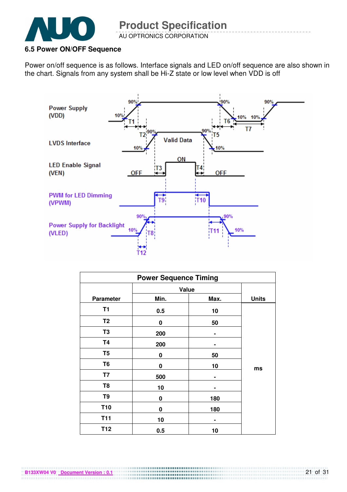

#### **6.5 Power ON/OFF Sequence**

**B133XW04 V0 Document Version : 0.1**

Power on/off sequence is as follows. Interface signals and LED on/off sequence are also shown in the chart. Signals from any system shall be Hi-Z state or low level when VDD is off



| <b>Power Sequence Timing</b> |       |      |              |  |  |
|------------------------------|-------|------|--------------|--|--|
|                              | Value |      |              |  |  |
| <b>Parameter</b>             | Min.  | Max. | <b>Units</b> |  |  |
| T <sub>1</sub>               | 0.5   | 10   |              |  |  |
| T <sub>2</sub>               | 0     | 50   |              |  |  |
| T <sub>3</sub>               | 200   | ۰    |              |  |  |
| <b>T4</b>                    | 200   |      |              |  |  |
| T <sub>5</sub>               | 0     | 50   |              |  |  |
| T <sub>6</sub>               | 0     | 10   | ms           |  |  |
| T7                           | 500   |      |              |  |  |
| T <sub>8</sub>               | 10    |      |              |  |  |
| T9                           | 0     | 180  |              |  |  |
| <b>T10</b>                   | 0     | 180  |              |  |  |
| <b>T11</b>                   | 10    |      |              |  |  |
| T <sub>12</sub>              | 0.5   | 10   |              |  |  |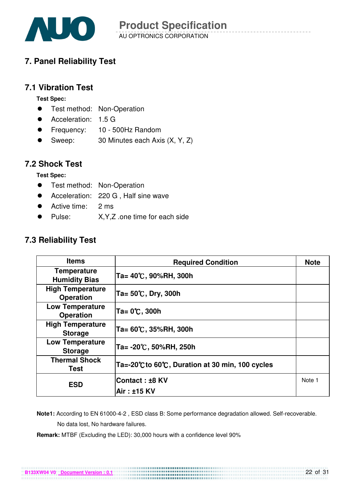

# **7. Panel Reliability Test**

### **7.1 Vibration Test**

**Test Spec:** 

- **•** Test method: Non-Operation
- Acceleration: 1.5 G
- Frequency: 10 500Hz Random
- Sweep: 30 Minutes each Axis (X, Y, Z)

#### **7.2 Shock Test**

**Test Spec:** 

- **•** Test method: Non-Operation
- Acceleration: 220 G, Half sine wave
- Active time: 2 ms
- ! Pulse: X,Y,Z .one time for each side

### **7.3 Reliability Test**

| <b>Items</b>                                | <b>Required Condition</b>                        | <b>Note</b> |
|---------------------------------------------|--------------------------------------------------|-------------|
| <b>Temperature</b><br><b>Humidity Bias</b>  | Ta= 40℃, 90%RH, 300h                             |             |
| <b>High Temperature</b><br><b>Operation</b> | $Ta = 50^{\circ}C$ , Dry, 300h                   |             |
| <b>Low Temperature</b><br><b>Operation</b>  | Ta= 0℃, 300h                                     |             |
| <b>High Temperature</b><br><b>Storage</b>   | Ta= 60℃, 35%RH, 300h                             |             |
| <b>Low Temperature</b><br><b>Storage</b>    | Ta= -20℃, 50%RH, 250h                            |             |
| <b>Thermal Shock</b><br>Test                | Ta=-20°C to 60°C, Duration at 30 min, 100 cycles |             |
| <b>ESD</b>                                  | Contact: ±8 KV                                   | Note 1      |
|                                             | Air: ±15 KV                                      |             |

 **Note1:** According to EN 61000-4-2 , ESD class B: Some performance degradation allowed. Self-recoverable. No data lost, No hardware failures.

**Remark:** MTBF (Excluding the LED): 30,000 hours with a confidence level 90%

**B133XW04 V0 Document Version : 0.1**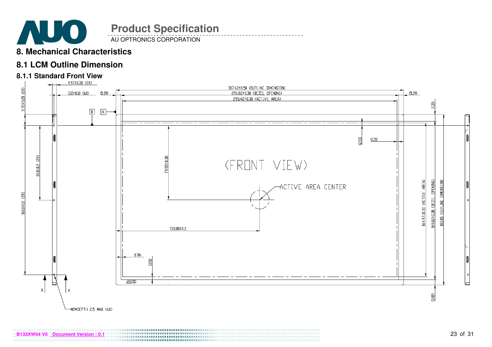

AU OPTRONICS CORPORATION

### **8. Mechanical Characteristics**

### **8.1 LCM Outline Dimension**

# **8.1.1 Standard Front View**

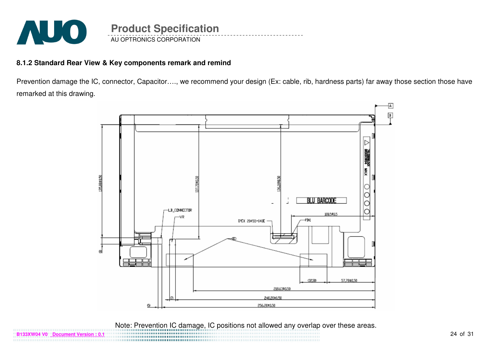

**B133XW04 V0 Document Version : 0.1**

#### **8.1.2 Standard Rear View & Key components remark and remind**

Prevention damage the IC, connector, Capacitor…., we recommend your design (Ex: cable, rib, hardness parts) far away those section those have remarked at this drawing.



Note: Prevention IC damage, IC positions not allowed any overlap over these areas.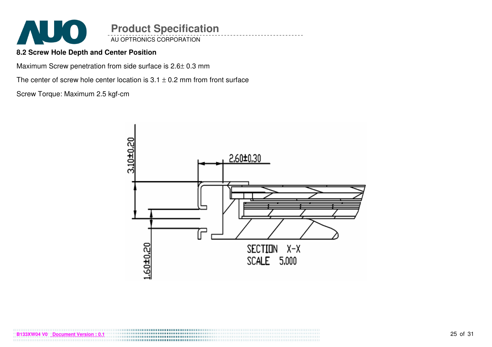

AU OPTRONICS CORPORATION

#### **8.2 Screw Hole Depth and Center Position**

Maximum Screw penetration from side surface is 2.6± 0.3 mm

The center of screw hole center location is  $3.1 \pm 0.2$  mm from front surface

Screw Torque: Maximum 2.5 kgf-cm

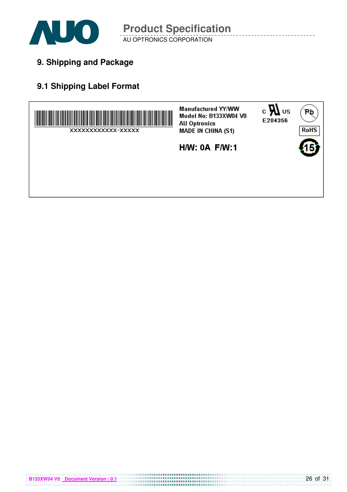

AU OPTRONICS CORPORATION **Product Specification** 

**9. Shipping and Package**

# **9.1 Shipping Label Format**



**B133XW04 V0** Document Version : 0.1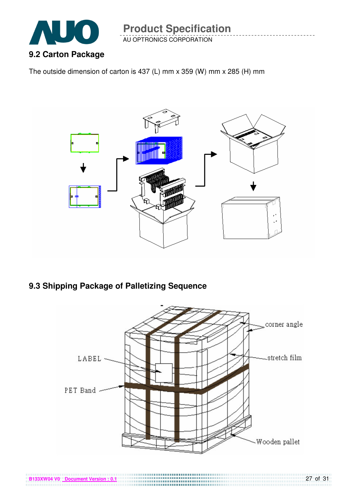

AU OPTRONICS CORPORATION

The outside dimension of carton is 437 (L) mm x 359 (W) mm x 285 (H) mm



# **9.3 Shipping Package of Palletizing Sequence**

**B133XW04 V0 Document Version** 



,,,,,,,,,,,,,,,,,,,,,,,,,,,,,,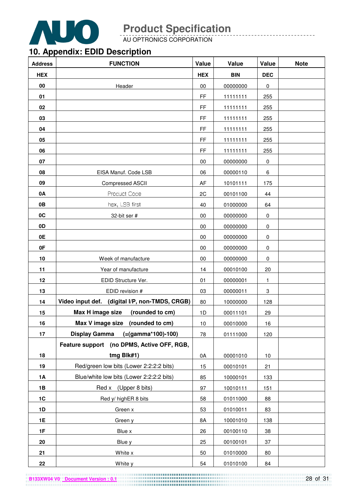

AU OPTRONICS CORPORATION

# **10. Appendix: EDID Description**

| <b>Address</b> | <b>FUNCTION</b>                                | Value      | Value      | Value      | <b>Note</b> |
|----------------|------------------------------------------------|------------|------------|------------|-------------|
| <b>HEX</b>     |                                                | <b>HEX</b> | <b>BIN</b> | <b>DEC</b> |             |
| 00             | Header                                         | $00\,$     | 00000000   | 0          |             |
| 01             |                                                | FF         | 11111111   | 255        |             |
| 02             |                                                | <b>FF</b>  | 11111111   | 255        |             |
| 03             |                                                | FF         | 11111111   | 255        |             |
| 04             |                                                | <b>FF</b>  | 11111111   | 255        |             |
| 05             |                                                | <b>FF</b>  | 11111111   | 255        |             |
| 06             |                                                | <b>FF</b>  | 11111111   | 255        |             |
| 07             |                                                | 00         | 00000000   | 0          |             |
| 08             | EISA Manuf. Code LSB                           | 06         | 00000110   | 6          |             |
| 09             | Compressed ASCII                               | AF         | 10101111   | 175        |             |
| 0A             | Product Code                                   | 2C         | 00101100   | 44         |             |
| 0B             | hex, LSB first                                 | 40         | 01000000   | 64         |             |
| 0C             | 32-bit ser #                                   | 00         | 00000000   | 0          |             |
| 0D             |                                                | 00         | 00000000   | 0          |             |
| 0E             |                                                | 00         | 00000000   | 0          |             |
| 0F             |                                                | 00         | 00000000   | 0          |             |
| 10             | Week of manufacture                            | $00\,$     | 00000000   | 0          |             |
| 11             | Year of manufacture                            | 14         | 00010100   | 20         |             |
| 12             | EDID Structure Ver.                            | 01         | 00000001   | 1          |             |
| 13             | EDID revision #                                | 03         | 00000011   | 3          |             |
| 14             | Video input def. (digital I/P, non-TMDS, CRGB) | 80         | 10000000   | 128        |             |
| 15             | Max H image size<br>(rounded to cm)            | 1D         | 00011101   | 29         |             |
| 16             | Max V image size (rounded to cm)               | 10         | 00010000   | 16         |             |
| 17             | Display Gamma (=(gamma*100)-100)               | 78         | 01111000   | 120        |             |
|                | Feature support (no DPMS, Active OFF, RGB,     |            |            |            |             |
| 18             | tmg Blk#1)                                     | 0A         | 00001010   | 10         |             |
| 19             | Red/green low bits (Lower 2:2:2:2 bits)        | 15         | 00010101   | 21         |             |
| 1A             | Blue/white low bits (Lower 2:2:2:2 bits)       | 85         | 10000101   | 133        |             |
| 1B             | Red x (Upper 8 bits)                           | 97         | 10010111   | 151        |             |
| 1C             | Red y/ highER 8 bits                           | 58         | 01011000   | 88         |             |
| 1D             | Green x                                        | 53         | 01010011   | 83         |             |
| <b>1E</b>      | Green y                                        | 8A         | 10001010   | 138        |             |
| 1F             | Blue x                                         | 26         | 00100110   | 38         |             |
| 20             | Blue y                                         | 25         | 00100101   | 37         |             |
| 21             | White x                                        | 50         | 01010000   | 80         |             |
| 22             | White y                                        | 54         | 01010100   | 84         |             |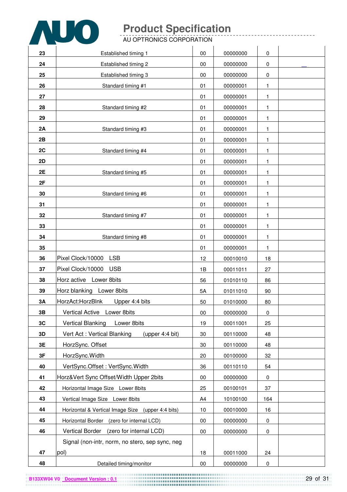

AU OPTRONICS CORPORATION

| 23 | Established timing 1                              | 00     | 00000000 | 0   |  |
|----|---------------------------------------------------|--------|----------|-----|--|
| 24 | Established timing 2                              | 00     | 00000000 | 0   |  |
| 25 | Established timing 3                              | 00     | 00000000 | 0   |  |
| 26 | Standard timing #1                                | 01     | 00000001 | 1   |  |
| 27 |                                                   | 01     | 00000001 | 1   |  |
| 28 | Standard timing #2                                | 01     | 00000001 | 1   |  |
| 29 |                                                   | 01     | 00000001 | 1   |  |
| 2A | Standard timing #3                                | 01     | 00000001 | 1   |  |
| 2B |                                                   | 01     | 00000001 | 1   |  |
| 2C | Standard timing #4                                | 01     | 00000001 | 1   |  |
| 2D |                                                   | 01     | 00000001 | 1   |  |
| 2E | Standard timing #5                                | 01     | 00000001 | 1   |  |
| 2F |                                                   | 01     | 00000001 | 1   |  |
| 30 | Standard timing #6                                | 01     | 00000001 | 1   |  |
| 31 |                                                   | 01     | 00000001 | 1   |  |
| 32 | Standard timing #7                                | 01     | 00000001 | 1   |  |
| 33 |                                                   | 01     | 00000001 | 1   |  |
| 34 | Standard timing #8                                | 01     | 00000001 | 1   |  |
| 35 |                                                   | 01     | 00000001 | 1   |  |
| 36 | Pixel Clock/10000<br>LSB                          | 12     | 00010010 | 18  |  |
| 37 | Pixel Clock/10000<br><b>USB</b>                   | 1B     | 00011011 | 27  |  |
| 38 | Horz active Lower 8bits                           | 56     | 01010110 | 86  |  |
| 39 | Horz blanking Lower 8bits                         | 5A     | 01011010 | 90  |  |
| 3A | HorzAct:HorzBlnk<br>Upper 4:4 bits                | 50     | 01010000 | 80  |  |
| 3B | Vertical Active Lower 8bits                       | $00\,$ | 00000000 | 0   |  |
| 3C | <b>Vertical Blanking</b><br>Lower 8bits           | 19     | 00011001 | 25  |  |
| 3D | Vert Act: Vertical Blanking<br>(upper 4:4 bit)    | 30     | 00110000 | 48  |  |
| 3E | HorzSync. Offset                                  | 30     | 00110000 | 48  |  |
| 3F | HorzSync.Width                                    | 20     | 00100000 | 32  |  |
| 40 | VertSync.Offset: VertSync.Width                   | 36     | 00110110 | 54  |  |
| 41 | Horz‖ Sync Offset/Width Upper 2bits               | $00\,$ | 00000000 | 0   |  |
| 42 | Horizontal Image Size Lower 8bits                 | 25     | 00100101 | 37  |  |
| 43 | Vertical Image Size Lower 8bits                   | A4     | 10100100 | 164 |  |
| 44 | Horizontal & Vertical Image Size (upper 4:4 bits) | 10     | 00010000 | 16  |  |
| 45 | Horizontal Border (zero for internal LCD)         | $00\,$ | 00000000 | 0   |  |
| 46 | Vertical Border (zero for internal LCD)           | $00\,$ | 00000000 | 0   |  |
|    | Signal (non-intr, norm, no stero, sep sync, neg   |        |          |     |  |
| 47 | pol)                                              | 18     | 00011000 | 24  |  |
| 48 | Detailed timing/monitor                           | $00\,$ | 00000000 | 0   |  |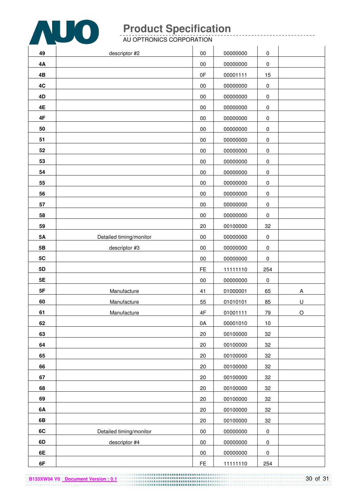

AU OPTRONICS CORPORATION

| 49        | descriptor #2           | $00\,$ | 00000000 | $\pmb{0}$ |             |
|-----------|-------------------------|--------|----------|-----------|-------------|
| <b>4A</b> |                         | 00     | 00000000 | $\pmb{0}$ |             |
| 4B        |                         | 0F     | 00001111 | 15        |             |
| 4C        |                         | 00     | 00000000 | $\pmb{0}$ |             |
| 4D        |                         | 00     | 00000000 | $\pmb{0}$ |             |
| 4E        |                         | 00     | 00000000 | $\pmb{0}$ |             |
| 4F        |                         | $00\,$ | 00000000 | $\pmb{0}$ |             |
| 50        |                         | $00\,$ | 00000000 | $\pmb{0}$ |             |
| 51        |                         | 00     | 00000000 | $\pmb{0}$ |             |
| 52        |                         | 00     | 00000000 | $\pmb{0}$ |             |
| 53        |                         | 00     | 00000000 | $\pmb{0}$ |             |
| 54        |                         | $00\,$ | 00000000 | $\pmb{0}$ |             |
| 55        |                         | $00\,$ | 00000000 | $\pmb{0}$ |             |
| 56        |                         | 00     | 00000000 | $\pmb{0}$ |             |
| 57        |                         | $00\,$ | 00000000 | $\pmb{0}$ |             |
| 58        |                         | $00\,$ | 00000000 | $\pmb{0}$ |             |
| 59        |                         | 20     | 00100000 | 32        |             |
| 5A        | Detailed timing/monitor | $00\,$ | 00000000 | $\pmb{0}$ |             |
| 5B        | descriptor #3           | 00     | 00000000 | $\pmb{0}$ |             |
| 5C        |                         | $00\,$ | 00000000 | $\pmb{0}$ |             |
| 5D        |                         | FE.    | 11111110 | 254       |             |
| 5E        |                         | $00\,$ | 00000000 | $\pmb{0}$ |             |
| $5F$      | Manufacture             | 41     | 01000001 | 65        | A           |
| 60        | Manufacture             | 55     | 01010101 | 85        | U           |
| 61        | Manufacture             | 4F     | 01001111 | 79        | $\mathsf O$ |
| 62        |                         | 0A     | 00001010 | $10$      |             |
| 63        |                         | 20     | 00100000 | 32        |             |
| 64        |                         | 20     | 00100000 | 32        |             |
| 65        |                         | $20\,$ | 00100000 | 32        |             |
| 66        |                         | 20     | 00100000 | 32        |             |
| 67        |                         | 20     | 00100000 | 32        |             |
| 68        |                         | 20     | 00100000 | 32        |             |
| 69        |                         | 20     | 00100000 | 32        |             |
| 6A        |                         | 20     | 00100000 | 32        |             |
| 6B        |                         | 20     | 00100000 | 32        |             |
| 6C        | Detailed timing/monitor | $00\,$ | 00000000 | $\pmb{0}$ |             |
| 6D        | descriptor #4           | $00\,$ | 00000000 | $\pmb{0}$ |             |
| 6E        |                         | $00\,$ | 00000000 | $\pmb{0}$ |             |
| 6F        |                         | FE     | 11111110 | 254       |             |